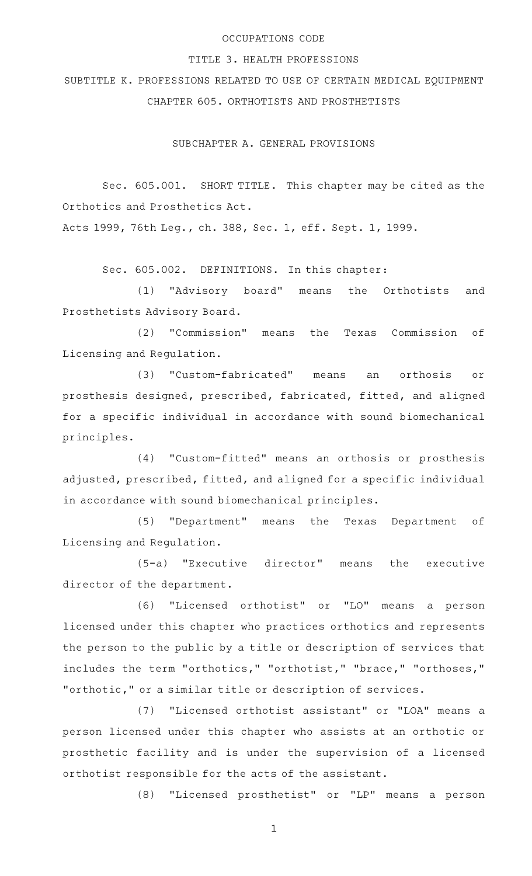## OCCUPATIONS CODE

#### TITLE 3. HEALTH PROFESSIONS

SUBTITLE K. PROFESSIONS RELATED TO USE OF CERTAIN MEDICAL EQUIPMENT CHAPTER 605. ORTHOTISTS AND PROSTHETISTS

SUBCHAPTER A. GENERAL PROVISIONS

Sec. 605.001. SHORT TITLE. This chapter may be cited as the Orthotics and Prosthetics Act.

Acts 1999, 76th Leg., ch. 388, Sec. 1, eff. Sept. 1, 1999.

Sec. 605.002. DEFINITIONS. In this chapter:

(1) "Advisory board" means the Orthotists and Prosthetists Advisory Board.

(2) "Commission" means the Texas Commission of Licensing and Regulation.

(3) "Custom-fabricated" means an orthosis or prosthesis designed, prescribed, fabricated, fitted, and aligned for a specific individual in accordance with sound biomechanical principles.

(4) "Custom-fitted" means an orthosis or prosthesis adjusted, prescribed, fitted, and aligned for a specific individual in accordance with sound biomechanical principles.

(5) "Department" means the Texas Department of Licensing and Regulation.

 $(5-a)$  "Executive director" means the executive director of the department.

(6) "Licensed orthotist" or "LO" means a person licensed under this chapter who practices orthotics and represents the person to the public by a title or description of services that includes the term "orthotics," "orthotist," "brace," "orthoses," "orthotic," or a similar title or description of services.

(7) "Licensed orthotist assistant" or "LOA" means a person licensed under this chapter who assists at an orthotic or prosthetic facility and is under the supervision of a licensed orthotist responsible for the acts of the assistant.

(8) "Licensed prosthetist" or "LP" means a person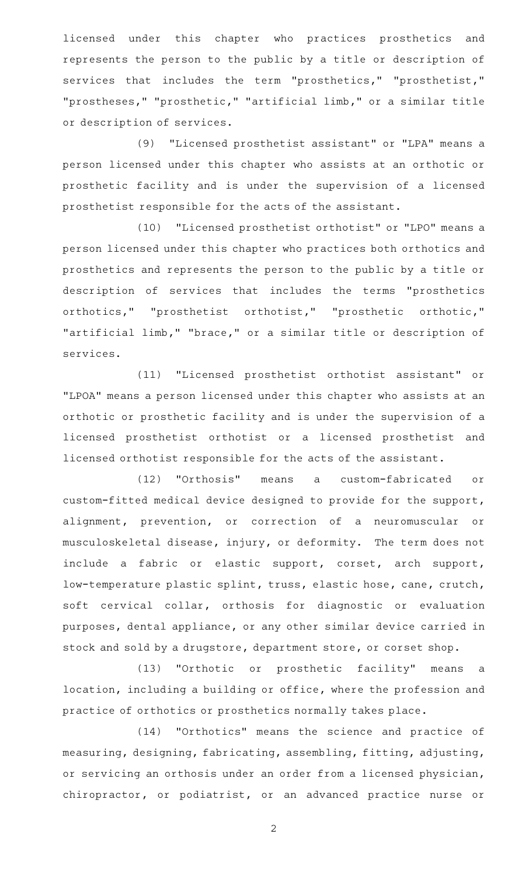licensed under this chapter who practices prosthetics and represents the person to the public by a title or description of services that includes the term "prosthetics," "prosthetist," "prostheses," "prosthetic," "artificial limb," or a similar title or description of services.

(9) "Licensed prosthetist assistant" or "LPA" means a person licensed under this chapter who assists at an orthotic or prosthetic facility and is under the supervision of a licensed prosthetist responsible for the acts of the assistant.

(10) "Licensed prosthetist orthotist" or "LPO" means a person licensed under this chapter who practices both orthotics and prosthetics and represents the person to the public by a title or description of services that includes the terms "prosthetics orthotics," "prosthetist orthotist," "prosthetic orthotic," "artificial limb," "brace," or a similar title or description of services.

(11) "Licensed prosthetist orthotist assistant" or "LPOA" means a person licensed under this chapter who assists at an orthotic or prosthetic facility and is under the supervision of a licensed prosthetist orthotist or a licensed prosthetist and licensed orthotist responsible for the acts of the assistant.

(12) "Orthosis" means a custom-fabricated or custom-fitted medical device designed to provide for the support, alignment, prevention, or correction of a neuromuscular or musculoskeletal disease, injury, or deformity. The term does not include a fabric or elastic support, corset, arch support, low-temperature plastic splint, truss, elastic hose, cane, crutch, soft cervical collar, orthosis for diagnostic or evaluation purposes, dental appliance, or any other similar device carried in stock and sold by a drugstore, department store, or corset shop.

(13) "Orthotic or prosthetic facility" means a location, including a building or office, where the profession and practice of orthotics or prosthetics normally takes place.

(14) "Orthotics" means the science and practice of measuring, designing, fabricating, assembling, fitting, adjusting, or servicing an orthosis under an order from a licensed physician, chiropractor, or podiatrist, or an advanced practice nurse or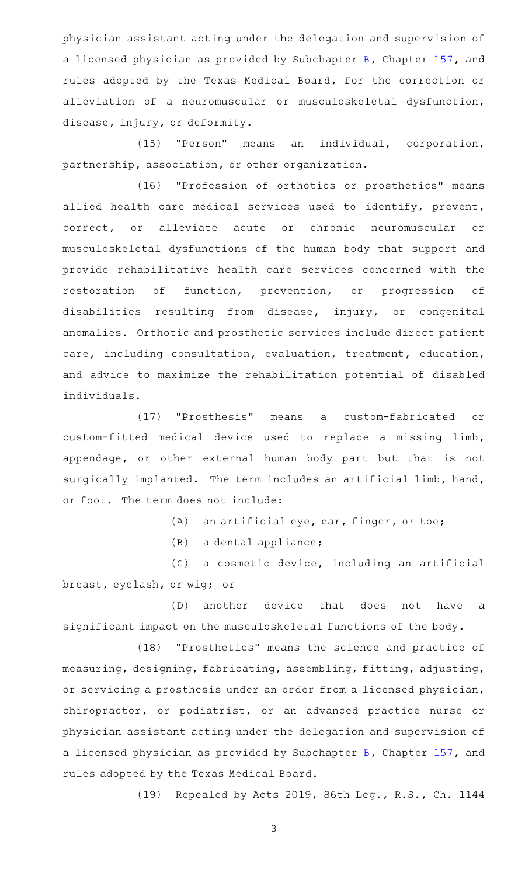physician assistant acting under the delegation and supervision of a licensed physician as provided by Subchapter [B,](http://www.statutes.legis.state.tx.us/GetStatute.aspx?Code=OC&Value=157.051) Chapter [157](http://www.statutes.legis.state.tx.us/GetStatute.aspx?Code=OC&Value=157), and rules adopted by the Texas Medical Board, for the correction or alleviation of a neuromuscular or musculoskeletal dysfunction, disease, injury, or deformity.

(15) "Person" means an individual, corporation, partnership, association, or other organization.

(16) "Profession of orthotics or prosthetics" means allied health care medical services used to identify, prevent, correct, or alleviate acute or chronic neuromuscular or musculoskeletal dysfunctions of the human body that support and provide rehabilitative health care services concerned with the restoration of function, prevention, or progression of disabilities resulting from disease, injury, or congenital anomalies. Orthotic and prosthetic services include direct patient care, including consultation, evaluation, treatment, education, and advice to maximize the rehabilitation potential of disabled individuals.

(17) "Prosthesis" means a custom-fabricated or custom-fitted medical device used to replace a missing limb, appendage, or other external human body part but that is not surgically implanted. The term includes an artificial limb, hand, or foot. The term does not include:

 $(A)$  an artificial eye, ear, finger, or toe;

 $(B)$  a dental appliance;

(C) a cosmetic device, including an artificial breast, eyelash, or wig; or

(D) another device that does not have a significant impact on the musculoskeletal functions of the body.

(18) "Prosthetics" means the science and practice of measuring, designing, fabricating, assembling, fitting, adjusting, or servicing a prosthesis under an order from a licensed physician, chiropractor, or podiatrist, or an advanced practice nurse or physician assistant acting under the delegation and supervision of a licensed physician as provided by Subchapter [B,](http://www.statutes.legis.state.tx.us/GetStatute.aspx?Code=OC&Value=157.051) Chapter [157](http://www.statutes.legis.state.tx.us/GetStatute.aspx?Code=OC&Value=157), and rules adopted by the Texas Medical Board.

(19) Repealed by Acts 2019, 86th Leg., R.S., Ch. 1144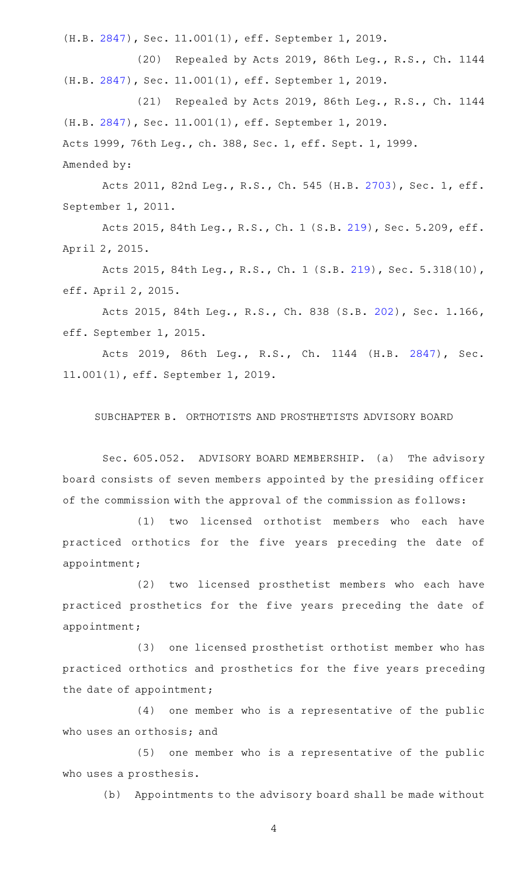(H.B. [2847\)](http://www.legis.state.tx.us/tlodocs/86R/billtext/html/HB02847F.HTM), Sec. 11.001(1), eff. September 1, 2019.

(20) Repealed by Acts 2019, 86th Leg., R.S., Ch. 1144 (H.B. [2847\)](http://www.legis.state.tx.us/tlodocs/86R/billtext/html/HB02847F.HTM), Sec. 11.001(1), eff. September 1, 2019.

(21) Repealed by Acts 2019, 86th Leg., R.S., Ch. 1144 (H.B. [2847\)](http://www.legis.state.tx.us/tlodocs/86R/billtext/html/HB02847F.HTM), Sec. 11.001(1), eff. September 1, 2019. Acts 1999, 76th Leg., ch. 388, Sec. 1, eff. Sept. 1, 1999. Amended by:

Acts 2011, 82nd Leg., R.S., Ch. 545 (H.B. [2703](http://www.legis.state.tx.us/tlodocs/82R/billtext/html/HB02703F.HTM)), Sec. 1, eff. September 1, 2011.

Acts 2015, 84th Leg., R.S., Ch. 1 (S.B. [219](http://www.legis.state.tx.us/tlodocs/84R/billtext/html/SB00219F.HTM)), Sec. 5.209, eff. April 2, 2015.

Acts 2015, 84th Leg., R.S., Ch. 1 (S.B. [219](http://www.legis.state.tx.us/tlodocs/84R/billtext/html/SB00219F.HTM)), Sec. 5.318(10), eff. April 2, 2015.

Acts 2015, 84th Leg., R.S., Ch. 838 (S.B. [202](http://www.legis.state.tx.us/tlodocs/84R/billtext/html/SB00202F.HTM)), Sec. 1.166, eff. September 1, 2015.

Acts 2019, 86th Leg., R.S., Ch. 1144 (H.B. [2847\)](http://www.legis.state.tx.us/tlodocs/86R/billtext/html/HB02847F.HTM), Sec. 11.001(1), eff. September 1, 2019.

SUBCHAPTER B. ORTHOTISTS AND PROSTHETISTS ADVISORY BOARD

Sec. 605.052. ADVISORY BOARD MEMBERSHIP. (a) The advisory board consists of seven members appointed by the presiding officer of the commission with the approval of the commission as follows:

(1) two licensed orthotist members who each have practiced orthotics for the five years preceding the date of appointment;

(2) two licensed prosthetist members who each have practiced prosthetics for the five years preceding the date of appointment;

(3) one licensed prosthetist orthotist member who has practiced orthotics and prosthetics for the five years preceding the date of appointment;

 $(4)$  one member who is a representative of the public who uses an orthosis; and

 $(5)$  one member who is a representative of the public who uses a prosthesis.

(b) Appointments to the advisory board shall be made without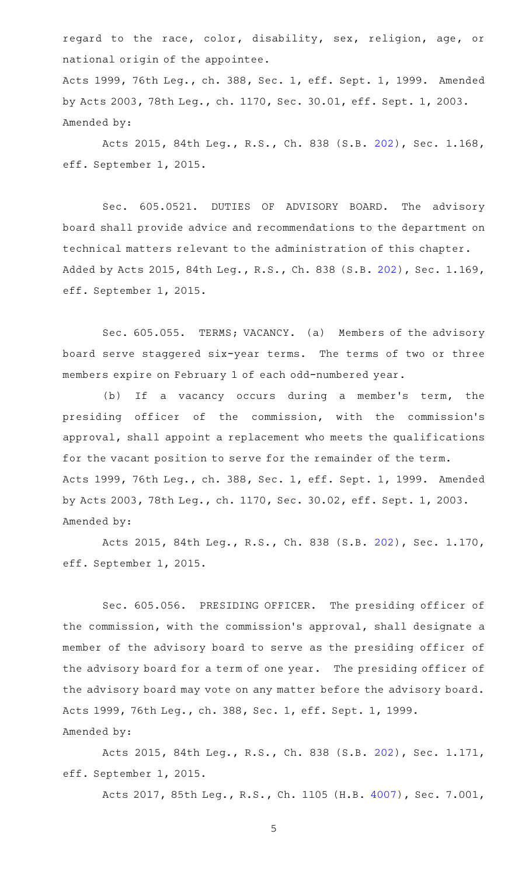regard to the race, color, disability, sex, religion, age, or national origin of the appointee.

Acts 1999, 76th Leg., ch. 388, Sec. 1, eff. Sept. 1, 1999. Amended by Acts 2003, 78th Leg., ch. 1170, Sec. 30.01, eff. Sept. 1, 2003. Amended by:

Acts 2015, 84th Leg., R.S., Ch. 838 (S.B. [202](http://www.legis.state.tx.us/tlodocs/84R/billtext/html/SB00202F.HTM)), Sec. 1.168, eff. September 1, 2015.

Sec. 605.0521. DUTIES OF ADVISORY BOARD. The advisory board shall provide advice and recommendations to the department on technical matters relevant to the administration of this chapter. Added by Acts 2015, 84th Leg., R.S., Ch. 838 (S.B. [202\)](http://www.legis.state.tx.us/tlodocs/84R/billtext/html/SB00202F.HTM), Sec. 1.169, eff. September 1, 2015.

Sec. 605.055. TERMS; VACANCY. (a) Members of the advisory board serve staggered six-year terms. The terms of two or three members expire on February 1 of each odd-numbered year.

(b) If a vacancy occurs during a member's term, the presiding officer of the commission, with the commission 's approval, shall appoint a replacement who meets the qualifications for the vacant position to serve for the remainder of the term. Acts 1999, 76th Leg., ch. 388, Sec. 1, eff. Sept. 1, 1999. Amended by Acts 2003, 78th Leg., ch. 1170, Sec. 30.02, eff. Sept. 1, 2003. Amended by:

Acts 2015, 84th Leg., R.S., Ch. 838 (S.B. [202](http://www.legis.state.tx.us/tlodocs/84R/billtext/html/SB00202F.HTM)), Sec. 1.170, eff. September 1, 2015.

Sec. 605.056. PRESIDING OFFICER. The presiding officer of the commission, with the commission 's approval, shall designate a member of the advisory board to serve as the presiding officer of the advisory board for a term of one year. The presiding officer of the advisory board may vote on any matter before the advisory board. Acts 1999, 76th Leg., ch. 388, Sec. 1, eff. Sept. 1, 1999. Amended by:

Acts 2015, 84th Leg., R.S., Ch. 838 (S.B. [202](http://www.legis.state.tx.us/tlodocs/84R/billtext/html/SB00202F.HTM)), Sec. 1.171, eff. September 1, 2015.

Acts 2017, 85th Leg., R.S., Ch. 1105 (H.B. [4007](http://www.legis.state.tx.us/tlodocs/85R/billtext/html/HB04007F.HTM)), Sec. 7.001,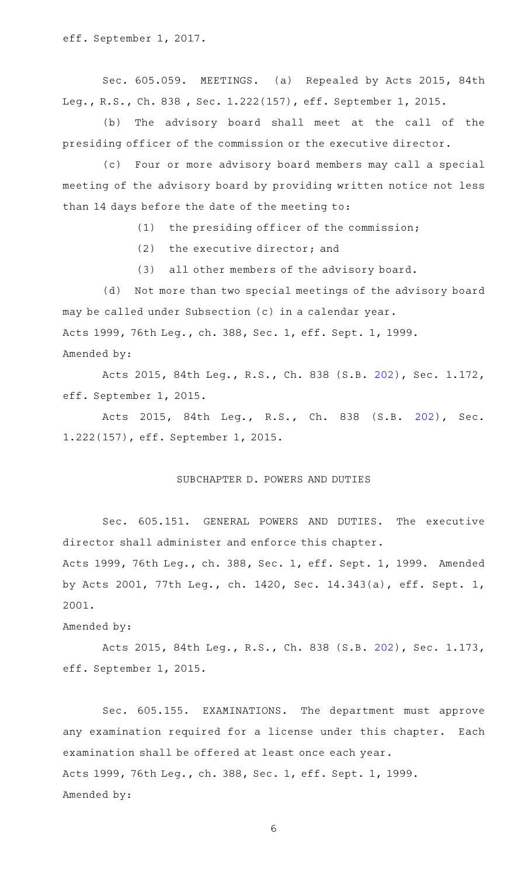Sec. 605.059. MEETINGS. (a) Repealed by Acts 2015, 84th Leg., R.S., Ch. 838 , Sec. 1.222(157), eff. September 1, 2015.

(b) The advisory board shall meet at the call of the presiding officer of the commission or the executive director.

(c) Four or more advisory board members may call a special meeting of the advisory board by providing written notice not less than 14 days before the date of the meeting to:

 $(1)$  the presiding officer of the commission;

 $(2)$  the executive director; and

(3) all other members of the advisory board.

(d) Not more than two special meetings of the advisory board may be called under Subsection (c) in a calendar year. Acts 1999, 76th Leg., ch. 388, Sec. 1, eff. Sept. 1, 1999. Amended by:

Acts 2015, 84th Leg., R.S., Ch. 838 (S.B. [202](http://www.legis.state.tx.us/tlodocs/84R/billtext/html/SB00202F.HTM)), Sec. 1.172, eff. September 1, 2015.

Acts 2015, 84th Leg., R.S., Ch. 838 (S.B. [202\)](http://www.legis.state.tx.us/tlodocs/84R/billtext/html/SB00202F.HTM), Sec. 1.222(157), eff. September 1, 2015.

### SUBCHAPTER D. POWERS AND DUTIES

Sec. 605.151. GENERAL POWERS AND DUTIES. The executive director shall administer and enforce this chapter.

Acts 1999, 76th Leg., ch. 388, Sec. 1, eff. Sept. 1, 1999. Amended by Acts 2001, 77th Leg., ch. 1420, Sec. 14.343(a), eff. Sept. 1, 2001.

Amended by:

Acts 2015, 84th Leg., R.S., Ch. 838 (S.B. [202](http://www.legis.state.tx.us/tlodocs/84R/billtext/html/SB00202F.HTM)), Sec. 1.173, eff. September 1, 2015.

Sec. 605.155. EXAMINATIONS. The department must approve any examination required for a license under this chapter. Each examination shall be offered at least once each year. Acts 1999, 76th Leg., ch. 388, Sec. 1, eff. Sept. 1, 1999. Amended by: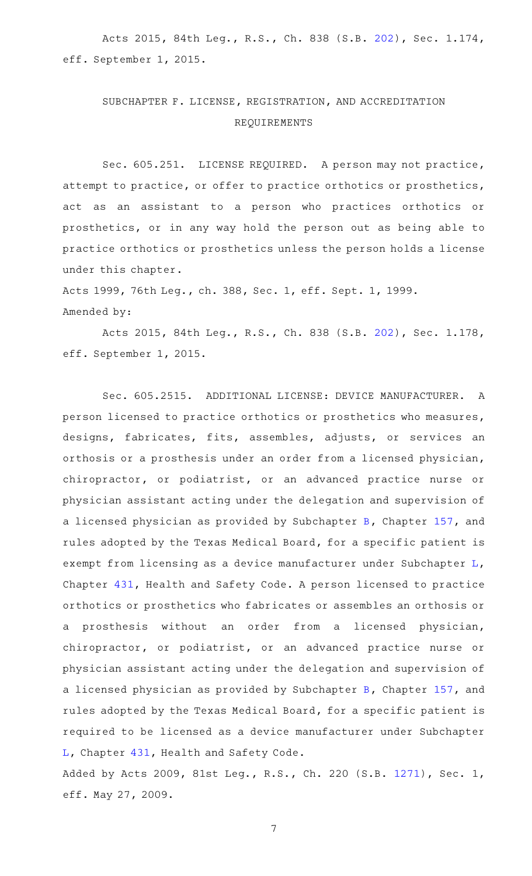Acts 2015, 84th Leg., R.S., Ch. 838 (S.B. [202](http://www.legis.state.tx.us/tlodocs/84R/billtext/html/SB00202F.HTM)), Sec. 1.174, eff. September 1, 2015.

# SUBCHAPTER F. LICENSE, REGISTRATION, AND ACCREDITATION REQUIREMENTS

Sec. 605.251. LICENSE REQUIRED. A person may not practice, attempt to practice, or offer to practice orthotics or prosthetics, act as an assistant to a person who practices orthotics or prosthetics, or in any way hold the person out as being able to practice orthotics or prosthetics unless the person holds a license under this chapter.

Acts 1999, 76th Leg., ch. 388, Sec. 1, eff. Sept. 1, 1999. Amended by:

Acts 2015, 84th Leg., R.S., Ch. 838 (S.B. [202](http://www.legis.state.tx.us/tlodocs/84R/billtext/html/SB00202F.HTM)), Sec. 1.178, eff. September 1, 2015.

Sec. 605.2515. ADDITIONAL LICENSE: DEVICE MANUFACTURER. A person licensed to practice orthotics or prosthetics who measures, designs, fabricates, fits, assembles, adjusts, or services an orthosis or a prosthesis under an order from a licensed physician, chiropractor, or podiatrist, or an advanced practice nurse or physician assistant acting under the delegation and supervision of a licensed physician as provided by Subchapter [B,](http://www.statutes.legis.state.tx.us/GetStatute.aspx?Code=OC&Value=157.051) Chapter [157](http://www.statutes.legis.state.tx.us/GetStatute.aspx?Code=OC&Value=157), and rules adopted by the Texas Medical Board, for a specific patient is exempt from licensing as a device manufacturer under Subchapter [L](http://www.statutes.legis.state.tx.us/GetStatute.aspx?Code=HS&Value=431.271), Chapter [431,](http://www.statutes.legis.state.tx.us/GetStatute.aspx?Code=HS&Value=431) Health and Safety Code. A person licensed to practice orthotics or prosthetics who fabricates or assembles an orthosis or a prosthesis without an order from a licensed physician, chiropractor, or podiatrist, or an advanced practice nurse or physician assistant acting under the delegation and supervision of a licensed physician as provided by Subchapter [B,](http://www.statutes.legis.state.tx.us/GetStatute.aspx?Code=OC&Value=157.051) Chapter [157](http://www.statutes.legis.state.tx.us/GetStatute.aspx?Code=OC&Value=157), and rules adopted by the Texas Medical Board, for a specific patient is required to be licensed as a device manufacturer under Subchapter [L,](http://www.statutes.legis.state.tx.us/GetStatute.aspx?Code=HS&Value=431.271) Chapter [431,](http://www.statutes.legis.state.tx.us/GetStatute.aspx?Code=HS&Value=431) Health and Safety Code.

Added by Acts 2009, 81st Leg., R.S., Ch. 220 (S.B. [1271](http://www.legis.state.tx.us/tlodocs/81R/billtext/html/SB01271F.HTM)), Sec. 1, eff. May 27, 2009.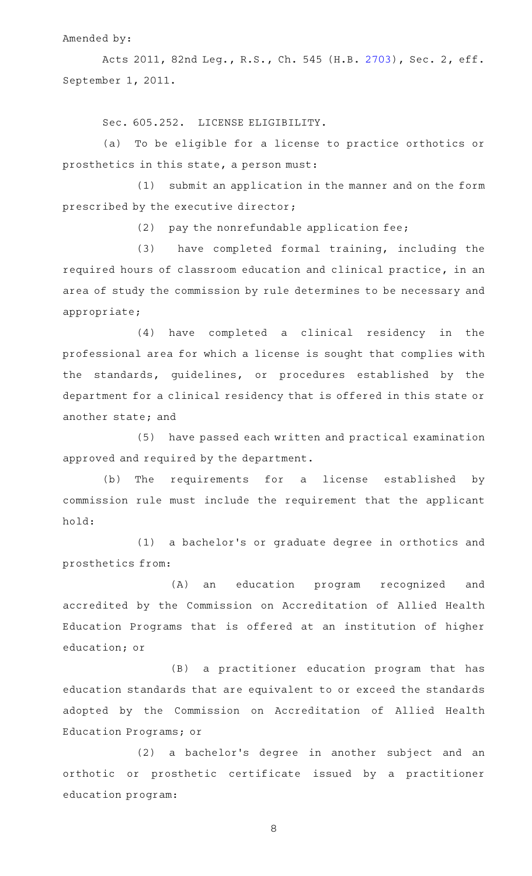Amended by:

Acts 2011, 82nd Leg., R.S., Ch. 545 (H.B. [2703](http://www.legis.state.tx.us/tlodocs/82R/billtext/html/HB02703F.HTM)), Sec. 2, eff. September 1, 2011.

Sec. 605.252. LICENSE ELIGIBILITY.

(a) To be eligible for a license to practice orthotics or prosthetics in this state, a person must:

(1) submit an application in the manner and on the form prescribed by the executive director;

 $(2)$  pay the nonrefundable application fee;

(3) have completed formal training, including the required hours of classroom education and clinical practice, in an area of study the commission by rule determines to be necessary and appropriate;

(4) have completed a clinical residency in the professional area for which a license is sought that complies with the standards, guidelines, or procedures established by the department for a clinical residency that is offered in this state or another state; and

(5) have passed each written and practical examination approved and required by the department.

(b) The requirements for a license established by commission rule must include the requirement that the applicant hold:

(1) a bachelor's or graduate degree in orthotics and prosthetics from:

(A) an education program recognized and accredited by the Commission on Accreditation of Allied Health Education Programs that is offered at an institution of higher education; or

(B) a practitioner education program that has education standards that are equivalent to or exceed the standards adopted by the Commission on Accreditation of Allied Health Education Programs; or

(2) a bachelor's degree in another subject and an orthotic or prosthetic certificate issued by a practitioner education program: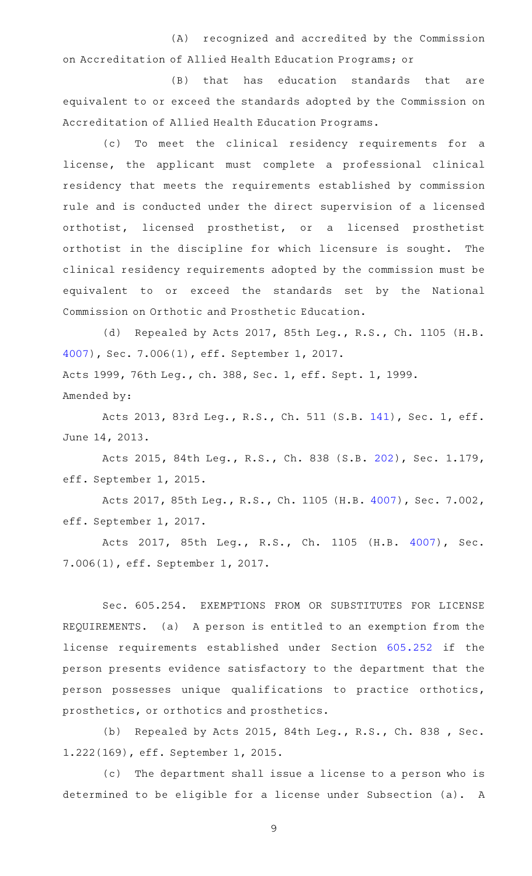(A) recognized and accredited by the Commission on Accreditation of Allied Health Education Programs; or

(B) that has education standards that are equivalent to or exceed the standards adopted by the Commission on Accreditation of Allied Health Education Programs.

(c) To meet the clinical residency requirements for a license, the applicant must complete a professional clinical residency that meets the requirements established by commission rule and is conducted under the direct supervision of a licensed orthotist, licensed prosthetist, or a licensed prosthetist orthotist in the discipline for which licensure is sought. The clinical residency requirements adopted by the commission must be equivalent to or exceed the standards set by the National Commission on Orthotic and Prosthetic Education.

(d) Repealed by Acts 2017, 85th Leg., R.S., Ch. 1105 (H.B. [4007](http://www.legis.state.tx.us/tlodocs/85R/billtext/html/HB04007F.HTM)), Sec. 7.006(1), eff. September 1, 2017. Acts 1999, 76th Leg., ch. 388, Sec. 1, eff. Sept. 1, 1999. Amended by:

Acts 2013, 83rd Leg., R.S., Ch. 511 (S.B. [141](http://www.legis.state.tx.us/tlodocs/83R/billtext/html/SB00141F.HTM)), Sec. 1, eff. June 14, 2013.

Acts 2015, 84th Leg., R.S., Ch. 838 (S.B. [202](http://www.legis.state.tx.us/tlodocs/84R/billtext/html/SB00202F.HTM)), Sec. 1.179, eff. September 1, 2015.

Acts 2017, 85th Leg., R.S., Ch. 1105 (H.B. [4007](http://www.legis.state.tx.us/tlodocs/85R/billtext/html/HB04007F.HTM)), Sec. 7.002, eff. September 1, 2017.

Acts 2017, 85th Leg., R.S., Ch. 1105 (H.B. [4007\)](http://www.legis.state.tx.us/tlodocs/85R/billtext/html/HB04007F.HTM), Sec. 7.006(1), eff. September 1, 2017.

Sec. 605.254. EXEMPTIONS FROM OR SUBSTITUTES FOR LICENSE REQUIREMENTS. (a) A person is entitled to an exemption from the license requirements established under Section [605.252](http://www.statutes.legis.state.tx.us/GetStatute.aspx?Code=OC&Value=605.252) if the person presents evidence satisfactory to the department that the person possesses unique qualifications to practice orthotics, prosthetics, or orthotics and prosthetics.

(b) Repealed by Acts 2015, 84th Leg., R.S., Ch. 838 , Sec. 1.222(169), eff. September 1, 2015.

(c) The department shall issue a license to a person who is determined to be eligible for a license under Subsection (a). A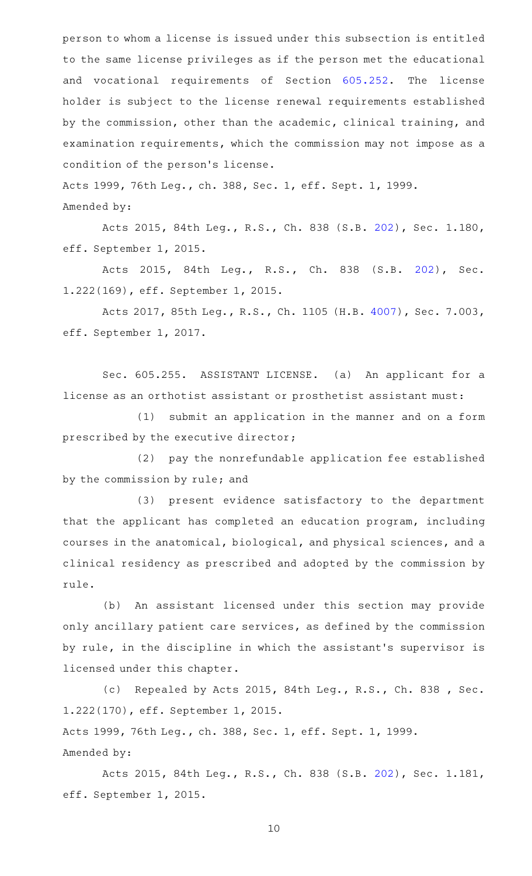person to whom a license is issued under this subsection is entitled to the same license privileges as if the person met the educational and vocational requirements of Section [605.252.](http://www.statutes.legis.state.tx.us/GetStatute.aspx?Code=OC&Value=605.252) The license holder is subject to the license renewal requirements established by the commission, other than the academic, clinical training, and examination requirements, which the commission may not impose as a condition of the person 's license.

Acts 1999, 76th Leg., ch. 388, Sec. 1, eff. Sept. 1, 1999. Amended by:

Acts 2015, 84th Leg., R.S., Ch. 838 (S.B. [202](http://www.legis.state.tx.us/tlodocs/84R/billtext/html/SB00202F.HTM)), Sec. 1.180, eff. September 1, 2015.

Acts 2015, 84th Leg., R.S., Ch. 838 (S.B. [202\)](http://www.legis.state.tx.us/tlodocs/84R/billtext/html/SB00202F.HTM), Sec. 1.222(169), eff. September 1, 2015.

Acts 2017, 85th Leg., R.S., Ch. 1105 (H.B. [4007](http://www.legis.state.tx.us/tlodocs/85R/billtext/html/HB04007F.HTM)), Sec. 7.003, eff. September 1, 2017.

Sec. 605.255. ASSISTANT LICENSE. (a) An applicant for a license as an orthotist assistant or prosthetist assistant must:

(1) submit an application in the manner and on a form prescribed by the executive director;

(2) pay the nonrefundable application fee established by the commission by rule; and

(3) present evidence satisfactory to the department that the applicant has completed an education program, including courses in the anatomical, biological, and physical sciences, and a clinical residency as prescribed and adopted by the commission by rule.

(b) An assistant licensed under this section may provide only ancillary patient care services, as defined by the commission by rule, in the discipline in which the assistant 's supervisor is licensed under this chapter.

(c) Repealed by Acts 2015, 84th Leg., R.S., Ch. 838 , Sec. 1.222(170), eff. September 1, 2015.

Acts 1999, 76th Leg., ch. 388, Sec. 1, eff. Sept. 1, 1999. Amended by:

Acts 2015, 84th Leg., R.S., Ch. 838 (S.B. [202](http://www.legis.state.tx.us/tlodocs/84R/billtext/html/SB00202F.HTM)), Sec. 1.181, eff. September 1, 2015.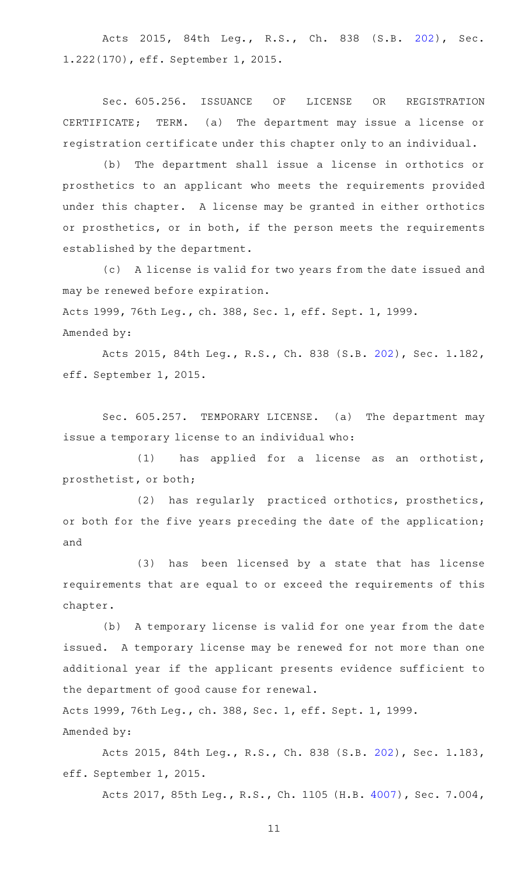Acts 2015, 84th Leg., R.S., Ch. 838 (S.B. [202\)](http://www.legis.state.tx.us/tlodocs/84R/billtext/html/SB00202F.HTM), Sec. 1.222(170), eff. September 1, 2015.

Sec. 605.256. ISSUANCE OF LICENSE OR REGISTRATION CERTIFICATE; TERM. (a) The department may issue a license or registration certificate under this chapter only to an individual.

(b) The department shall issue a license in orthotics or prosthetics to an applicant who meets the requirements provided under this chapter. A license may be granted in either orthotics or prosthetics, or in both, if the person meets the requirements established by the department.

(c) A license is valid for two years from the date issued and may be renewed before expiration. Acts 1999, 76th Leg., ch. 388, Sec. 1, eff. Sept. 1, 1999. Amended by:

Acts 2015, 84th Leg., R.S., Ch. 838 (S.B. [202](http://www.legis.state.tx.us/tlodocs/84R/billtext/html/SB00202F.HTM)), Sec. 1.182, eff. September 1, 2015.

Sec. 605.257. TEMPORARY LICENSE. (a) The department may issue a temporary license to an individual who:

(1) has applied for a license as an orthotist, prosthetist, or both;

(2) has regularly practiced orthotics, prosthetics, or both for the five years preceding the date of the application; and

(3) has been licensed by a state that has license requirements that are equal to or exceed the requirements of this chapter.

(b) A temporary license is valid for one year from the date issued. A temporary license may be renewed for not more than one additional year if the applicant presents evidence sufficient to the department of good cause for renewal.

Acts 1999, 76th Leg., ch. 388, Sec. 1, eff. Sept. 1, 1999. Amended by:

Acts 2015, 84th Leg., R.S., Ch. 838 (S.B. [202](http://www.legis.state.tx.us/tlodocs/84R/billtext/html/SB00202F.HTM)), Sec. 1.183, eff. September 1, 2015.

Acts 2017, 85th Leg., R.S., Ch. 1105 (H.B. [4007](http://www.legis.state.tx.us/tlodocs/85R/billtext/html/HB04007F.HTM)), Sec. 7.004,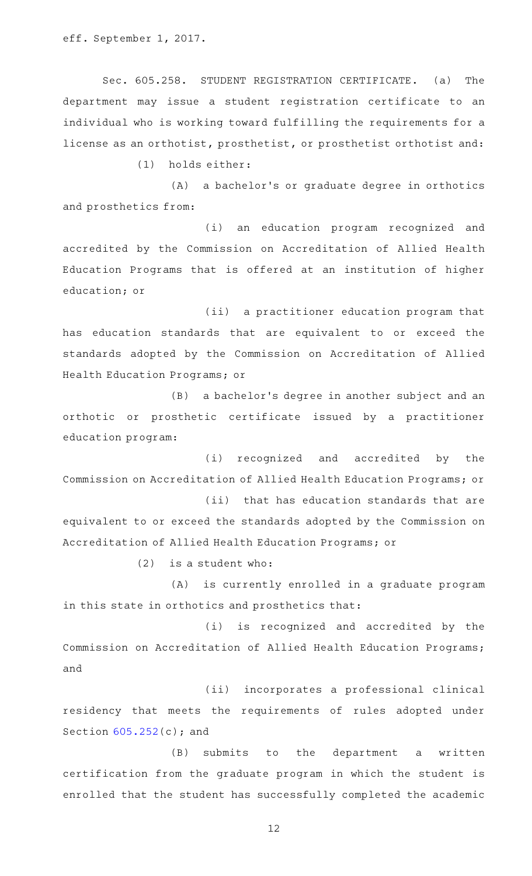eff. September 1, 2017.

Sec. 605.258. STUDENT REGISTRATION CERTIFICATE. (a) The department may issue a student registration certificate to an individual who is working toward fulfilling the requirements for a license as an orthotist, prosthetist, or prosthetist orthotist and:

(1) holds either:

(A) a bachelor's or graduate degree in orthotics and prosthetics from:

(i) an education program recognized and accredited by the Commission on Accreditation of Allied Health Education Programs that is offered at an institution of higher education; or

(ii) a practitioner education program that has education standards that are equivalent to or exceed the standards adopted by the Commission on Accreditation of Allied Health Education Programs; or

(B) a bachelor's degree in another subject and an orthotic or prosthetic certificate issued by a practitioner education program:

(i) recognized and accredited by the Commission on Accreditation of Allied Health Education Programs; or

(ii) that has education standards that are equivalent to or exceed the standards adopted by the Commission on Accreditation of Allied Health Education Programs; or

 $(2)$  is a student who:

(A) is currently enrolled in a graduate program in this state in orthotics and prosthetics that:

(i) is recognized and accredited by the Commission on Accreditation of Allied Health Education Programs; and

(ii) incorporates a professional clinical residency that meets the requirements of rules adopted under Section [605.252\(](http://www.statutes.legis.state.tx.us/GetStatute.aspx?Code=OC&Value=605.252)c); and

(B) submits to the department a written certification from the graduate program in which the student is enrolled that the student has successfully completed the academic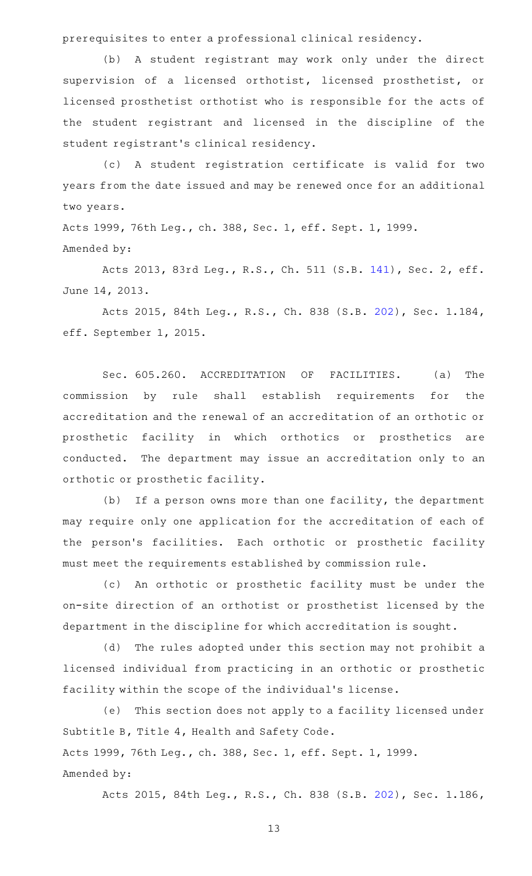prerequisites to enter a professional clinical residency.

(b) A student registrant may work only under the direct supervision of a licensed orthotist, licensed prosthetist, or licensed prosthetist orthotist who is responsible for the acts of the student registrant and licensed in the discipline of the student registrant 's clinical residency.

(c)AAA student registration certificate is valid for two years from the date issued and may be renewed once for an additional two years.

Acts 1999, 76th Leg., ch. 388, Sec. 1, eff. Sept. 1, 1999. Amended by:

Acts 2013, 83rd Leg., R.S., Ch. 511 (S.B. [141](http://www.legis.state.tx.us/tlodocs/83R/billtext/html/SB00141F.HTM)), Sec. 2, eff. June 14, 2013.

Acts 2015, 84th Leg., R.S., Ch. 838 (S.B. [202](http://www.legis.state.tx.us/tlodocs/84R/billtext/html/SB00202F.HTM)), Sec. 1.184, eff. September 1, 2015.

Sec. 605.260. ACCREDITATION OF FACILITIES. (a) The commission by rule shall establish requirements for the accreditation and the renewal of an accreditation of an orthotic or prosthetic facility in which orthotics or prosthetics are conducted. The department may issue an accreditation only to an orthotic or prosthetic facility.

(b) If a person owns more than one facility, the department may require only one application for the accreditation of each of the person's facilities. Each orthotic or prosthetic facility must meet the requirements established by commission rule.

(c) An orthotic or prosthetic facility must be under the on-site direction of an orthotist or prosthetist licensed by the department in the discipline for which accreditation is sought.

(d) The rules adopted under this section may not prohibit a licensed individual from practicing in an orthotic or prosthetic facility within the scope of the individual 's license.

(e) This section does not apply to a facility licensed under Subtitle B, Title 4, Health and Safety Code. Acts 1999, 76th Leg., ch. 388, Sec. 1, eff. Sept. 1, 1999. Amended by:

Acts 2015, 84th Leg., R.S., Ch. 838 (S.B. [202](http://www.legis.state.tx.us/tlodocs/84R/billtext/html/SB00202F.HTM)), Sec. 1.186,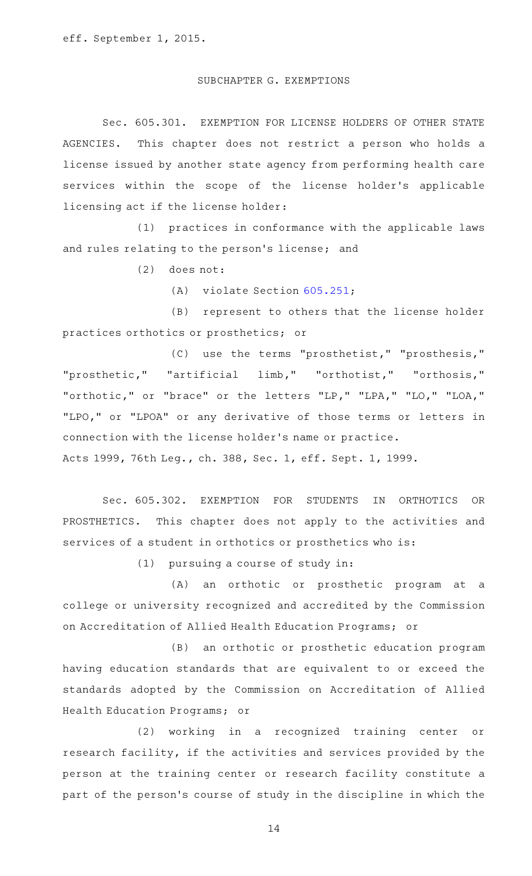## SUBCHAPTER G. EXEMPTIONS

Sec. 605.301. EXEMPTION FOR LICENSE HOLDERS OF OTHER STATE AGENCIES. This chapter does not restrict a person who holds a license issued by another state agency from performing health care services within the scope of the license holder 's applicable licensing act if the license holder:

(1) practices in conformance with the applicable laws and rules relating to the person's license; and

 $(2)$  does not:

 $(A)$  violate Section [605.251;](http://www.statutes.legis.state.tx.us/GetStatute.aspx?Code=OC&Value=605.251)

(B) represent to others that the license holder practices orthotics or prosthetics; or

(C) use the terms "prosthetist," "prosthesis," "prosthetic," "artificial limb," "orthotist," "orthosis," "orthotic," or "brace" or the letters "LP," "LPA," "LO," "LOA," "LPO," or "LPOA" or any derivative of those terms or letters in connection with the license holder 's name or practice. Acts 1999, 76th Leg., ch. 388, Sec. 1, eff. Sept. 1, 1999.

Sec. 605.302. EXEMPTION FOR STUDENTS IN ORTHOTICS OR PROSTHETICS. This chapter does not apply to the activities and services of a student in orthotics or prosthetics who is:

 $(1)$  pursuing a course of study in:

(A) an orthotic or prosthetic program at a college or university recognized and accredited by the Commission on Accreditation of Allied Health Education Programs; or

(B) an orthotic or prosthetic education program having education standards that are equivalent to or exceed the standards adopted by the Commission on Accreditation of Allied Health Education Programs; or

(2) working in a recognized training center or research facility, if the activities and services provided by the person at the training center or research facility constitute a part of the person's course of study in the discipline in which the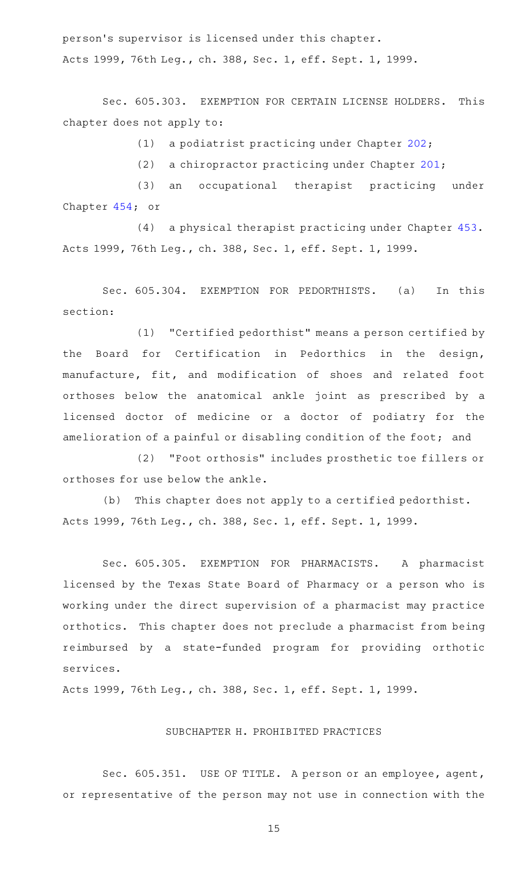person 's supervisor is licensed under this chapter. Acts 1999, 76th Leg., ch. 388, Sec. 1, eff. Sept. 1, 1999.

Sec. 605.303. EXEMPTION FOR CERTAIN LICENSE HOLDERS. This chapter does not apply to:

(1) a podiatrist practicing under Chapter  $202$ ;

(2) a chiropractor practicing under Chapter [201](http://www.statutes.legis.state.tx.us/GetStatute.aspx?Code=OC&Value=201);

(3) an occupational therapist practicing under Chapter [454;](http://www.statutes.legis.state.tx.us/GetStatute.aspx?Code=OC&Value=454) or

(4) a physical therapist practicing under Chapter [453](http://www.statutes.legis.state.tx.us/GetStatute.aspx?Code=OC&Value=453). Acts 1999, 76th Leg., ch. 388, Sec. 1, eff. Sept. 1, 1999.

Sec. 605.304. EXEMPTION FOR PEDORTHISTS. (a) In this section:

(1) "Certified pedorthist" means a person certified by the Board for Certification in Pedorthics in the design, manufacture, fit, and modification of shoes and related foot orthoses below the anatomical ankle joint as prescribed by a licensed doctor of medicine or a doctor of podiatry for the amelioration of a painful or disabling condition of the foot; and

(2) "Foot orthosis" includes prosthetic toe fillers or orthoses for use below the ankle.

(b) This chapter does not apply to a certified pedorthist. Acts 1999, 76th Leg., ch. 388, Sec. 1, eff. Sept. 1, 1999.

Sec. 605.305. EXEMPTION FOR PHARMACISTS. A pharmacist licensed by the Texas State Board of Pharmacy or a person who is working under the direct supervision of a pharmacist may practice orthotics. This chapter does not preclude a pharmacist from being reimbursed by a state-funded program for providing orthotic services.

Acts 1999, 76th Leg., ch. 388, Sec. 1, eff. Sept. 1, 1999.

## SUBCHAPTER H. PROHIBITED PRACTICES

Sec. 605.351. USE OF TITLE. A person or an employee, agent, or representative of the person may not use in connection with the